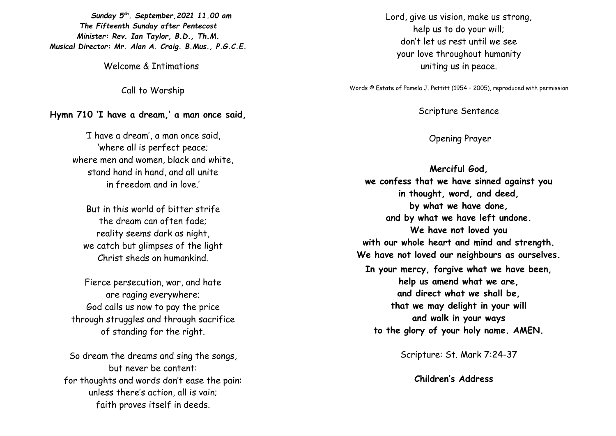*Sunday 5 th . September,2021 11.00 am The Fifteenth Sunday after Pentecost Minister: Rev. Ian Taylor, B.D., Th.M. Musical Director: Mr. Alan A. Craig. B.Mus., P.G.C.E.*

Welcome & Intimations

Call to Worship

## **Hymn 710 'I have a dream,' a man once said,**

'I have a dream', a man once said, 'where all is perfect peace; where men and women, black and white, stand hand in hand, and all unite in freedom and in love.'

But in this world of bitter strife the dream can often fade; reality seems dark as night, we catch but glimpses of the light Christ sheds on humankind.

Fierce persecution, war, and hate are raging everywhere; God calls us now to pay the price through struggles and through sacrifice of standing for the right.

So dream the dreams and sing the songs, but never be content: for thoughts and words don't ease the pain: unless there's action, all is vain; faith proves itself in deeds.

Lord, give us vision, make us strong, help us to do your will; don't let us rest until we see your love throughout humanity uniting us in peace.

Words © Estate of Pamela J. Pettitt (1954 – 2005), reproduced with permission

Scripture Sentence

Opening Prayer

**Merciful God, we confess that we have sinned against you in thought, word, and deed, by what we have done, and by what we have left undone. We have not loved you with our whole heart and mind and strength. We have not loved our neighbours as ourselves. In your mercy, forgive what we have been, help us amend what we are, and direct what we shall be, that we may delight in your will and walk in your ways to the glory of your holy name. AMEN.**

Scripture: St. Mark 7:24-37

**Children's Address**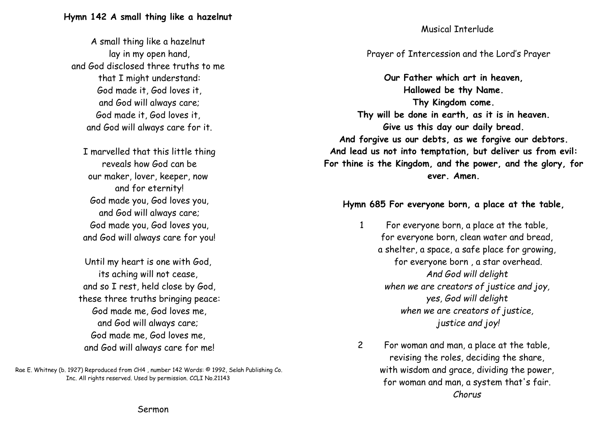A small thing like a hazelnut lay in my open hand, and God disclosed three truths to me that I might understand: God made it, God loves it, and God will always care; God made it, God loves it, and God will always care for it.

I marvelled that this little thing reveals how God can be our maker, lover, keeper, now and for eternity! God made you, God loves you, and God will always care; God made you, God loves you, and God will always care for you!

Until my heart is one with God, its aching will not cease, and so I rest, held close by God, these three truths bringing peace: God made me, God loves me, and God will always care; God made me, God loves me, and God will always care for me!

Rae E. Whitney (b. 1927) Reproduced from CH4 , number 142 Words: © 1992, Selah Publishing Co. Inc. All rights reserved. Used by permission. CCLI No.21143

## Musical Interlude

## Prayer of Intercession and the Lord's Prayer

**Our Father which art in heaven, Hallowed be thy Name. Thy Kingdom come. Thy will be done in earth, as it is in heaven. Give us this day our daily bread. And forgive us our debts, as we forgive our debtors. And lead us not into temptation, but deliver us from evil: For thine is the Kingdom, and the power, and the glory, for ever. Amen.**

## **Hymn 685 For everyone born, a place at the table,**

- 1 For everyone born, a place at the table, for everyone born, clean water and bread, a shelter, a space, a safe place for growing, for everyone born , a star overhead. *And God will delight when we are creators of justice and joy, yes, God will delight when we are creators of justice, justice and joy!*
- 2 For woman and man, a place at the table, revising the roles, deciding the share, with wisdom and grace, dividing the power, for woman and man, a system that's fair. *Chorus*

Sermon